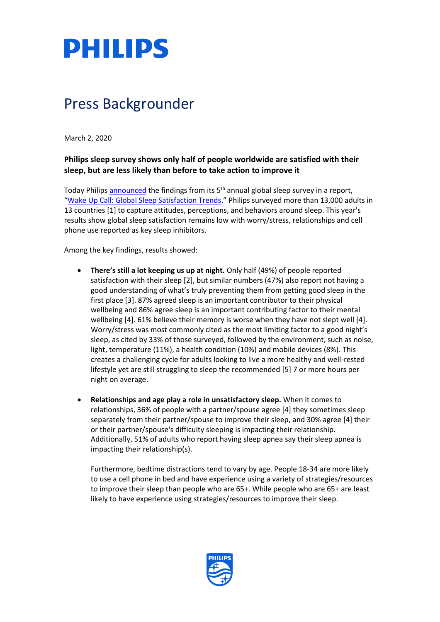

## Press Backgrounder

March 2, 2020

## **Philips sleep survey shows only half of people worldwide are satisfied with their sleep, but are less likely than before to take action to improve it**

Today Philips [announced](https://www.philips.com/a-w/about/news/archive/standard/news/press/2020/20200302-philips-sleep-survey-shows-only-half-of-people-worldwide-are-satisfied-with-their-sleep-but-are-less-likely-than-before-to-take-action-to-improve-it.html) the findings from its 5<sup>th</sup> annual global sleep survey in a report, "[Wake Up Call: Global Sleep Satisfaction Trends.](https://www.philips.com/c-dam/corporate/newscenter/global/standard/resources/healthcare/2020/world-sleep-day/2020-Philips-WSD-Report.pdf)" Philips surveyed more than 13,000 adults in 13 countries [1] to capture attitudes, perceptions, and behaviors around sleep. This year's results show global sleep satisfaction remains low with worry/stress, relationships and cell phone use reported as key sleep inhibitors.

Among the key findings, results showed:

- **There's still a lot keeping us up at night.** Only half (49%) of people reported satisfaction with their sleep [2], but similar numbers (47%) also report not having a good understanding of what's truly preventing them from getting good sleep in the first place [3]. 87% agreed sleep is an important contributor to their physical wellbeing and 86% agree sleep is an important contributing factor to their mental wellbeing [4]. 61% believe their memory is worse when they have not slept well [4]. Worry/stress was most commonly cited as the most limiting factor to a good night's sleep, as cited by 33% of those surveyed, followed by the environment, such as noise, light, temperature (11%), a health condition (10%) and mobile devices (8%). This creates a challenging cycle for adults looking to live a more healthy and well-rested lifestyle yet are still struggling to sleep the recommended [5] 7 or more hours per night on average.
- **Relationships and age play a role in unsatisfactory sleep.** When it comes to relationships, 36% of people with a partner/spouse agree [4] they sometimes sleep separately from their partner/spouse to improve their sleep, and 30% agree [4] their or their partner/spouse's difficulty sleeping is impacting their relationship. Additionally, 51% of adults who report having sleep apnea say their sleep apnea is impacting their relationship(s).

Furthermore, bedtime distractions tend to vary by age. People 18-34 are more likely to use a cell phone in bed and have experience using a variety of strategies/resources to improve their sleep than people who are 65+. While people who are 65+ are least likely to have experience using strategies/resources to improve their sleep.